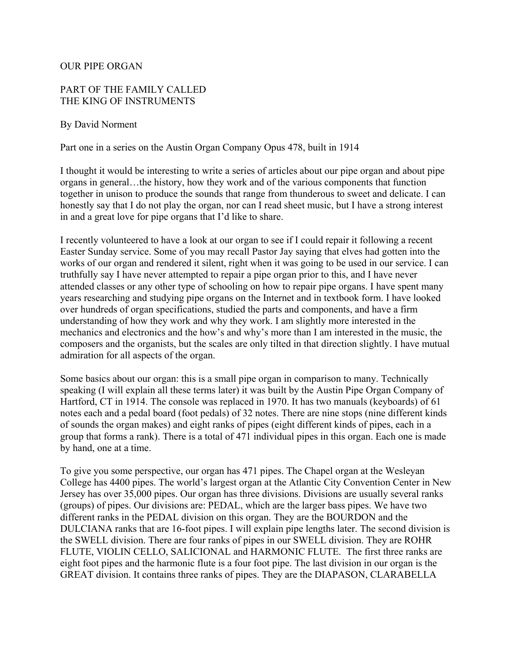## OUR PIPE ORGAN

## PART OF THE FAMILY CALLED THE KING OF INSTRUMENTS

## By David Norment

## Part one in a series on the Austin Organ Company Opus 478, built in 1914

I thought it would be interesting to write a series of articles about our pipe organ and about pipe organs in general…the history, how they work and of the various components that function together in unison to produce the sounds that range from thunderous to sweet and delicate. I can honestly say that I do not play the organ, nor can I read sheet music, but I have a strong interest in and a great love for pipe organs that I'd like to share.

I recently volunteered to have a look at our organ to see if I could repair it following a recent Easter Sunday service. Some of you may recall Pastor Jay saying that elves had gotten into the works of our organ and rendered it silent, right when it was going to be used in our service. I can truthfully say I have never attempted to repair a pipe organ prior to this, and I have never attended classes or any other type of schooling on how to repair pipe organs. I have spent many years researching and studying pipe organs on the Internet and in textbook form. I have looked over hundreds of organ specifications, studied the parts and components, and have a firm understanding of how they work and why they work. I am slightly more interested in the mechanics and electronics and the how's and why's more than I am interested in the music, the composers and the organists, but the scales are only tilted in that direction slightly. I have mutual admiration for all aspects of the organ.

Some basics about our organ: this is a small pipe organ in comparison to many. Technically speaking (I will explain all these terms later) it was built by the Austin Pipe Organ Company of Hartford, CT in 1914. The console was replaced in 1970. It has two manuals (keyboards) of 61 notes each and a pedal board (foot pedals) of 32 notes. There are nine stops (nine different kinds of sounds the organ makes) and eight ranks of pipes (eight different kinds of pipes, each in a group that forms a rank). There is a total of 471 individual pipes in this organ. Each one is made by hand, one at a time.

To give you some perspective, our organ has 471 pipes. The Chapel organ at the Wesleyan College has 4400 pipes. The world's largest organ at the Atlantic City Convention Center in New Jersey has over 35,000 pipes. Our organ has three divisions. Divisions are usually several ranks (groups) of pipes. Our divisions are: PEDAL, which are the larger bass pipes. We have two different ranks in the PEDAL division on this organ. They are the BOURDON and the DULCIANA ranks that are 16-foot pipes. I will explain pipe lengths later. The second division is the SWELL division. There are four ranks of pipes in our SWELL division. They are ROHR FLUTE, VIOLIN CELLO, SALICIONAL and HARMONIC FLUTE. The first three ranks are eight foot pipes and the harmonic flute is a four foot pipe. The last division in our organ is the GREAT division. It contains three ranks of pipes. They are the DIAPASON, CLARABELLA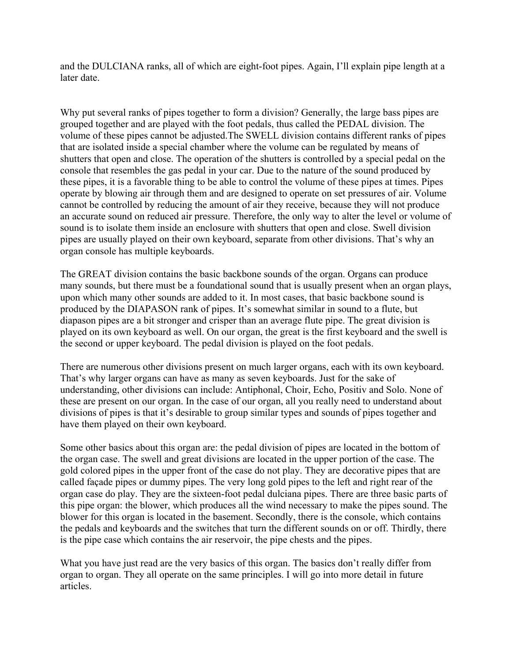and the DULCIANA ranks, all of which are eight-foot pipes. Again, I'll explain pipe length at a later date.

Why put several ranks of pipes together to form a division? Generally, the large bass pipes are grouped together and are played with the foot pedals, thus called the PEDAL division. The volume of these pipes cannot be adjusted.The SWELL division contains different ranks of pipes that are isolated inside a special chamber where the volume can be regulated by means of shutters that open and close. The operation of the shutters is controlled by a special pedal on the console that resembles the gas pedal in your car. Due to the nature of the sound produced by these pipes, it is a favorable thing to be able to control the volume of these pipes at times. Pipes operate by blowing air through them and are designed to operate on set pressures of air. Volume cannot be controlled by reducing the amount of air they receive, because they will not produce an accurate sound on reduced air pressure. Therefore, the only way to alter the level or volume of sound is to isolate them inside an enclosure with shutters that open and close. Swell division pipes are usually played on their own keyboard, separate from other divisions. That's why an organ console has multiple keyboards.

The GREAT division contains the basic backbone sounds of the organ. Organs can produce many sounds, but there must be a foundational sound that is usually present when an organ plays, upon which many other sounds are added to it. In most cases, that basic backbone sound is produced by the DIAPASON rank of pipes. It's somewhat similar in sound to a flute, but diapason pipes are a bit stronger and crisper than an average flute pipe. The great division is played on its own keyboard as well. On our organ, the great is the first keyboard and the swell is the second or upper keyboard. The pedal division is played on the foot pedals.

There are numerous other divisions present on much larger organs, each with its own keyboard. That's why larger organs can have as many as seven keyboards. Just for the sake of understanding, other divisions can include: Antiphonal, Choir, Echo, Positiv and Solo. None of these are present on our organ. In the case of our organ, all you really need to understand about divisions of pipes is that it's desirable to group similar types and sounds of pipes together and have them played on their own keyboard.

Some other basics about this organ are: the pedal division of pipes are located in the bottom of the organ case. The swell and great divisions are located in the upper portion of the case. The gold colored pipes in the upper front of the case do not play. They are decorative pipes that are called façade pipes or dummy pipes. The very long gold pipes to the left and right rear of the organ case do play. They are the sixteen-foot pedal dulciana pipes. There are three basic parts of this pipe organ: the blower, which produces all the wind necessary to make the pipes sound. The blower for this organ is located in the basement. Secondly, there is the console, which contains the pedals and keyboards and the switches that turn the different sounds on or off. Thirdly, there is the pipe case which contains the air reservoir, the pipe chests and the pipes.

What you have just read are the very basics of this organ. The basics don't really differ from organ to organ. They all operate on the same principles. I will go into more detail in future articles.